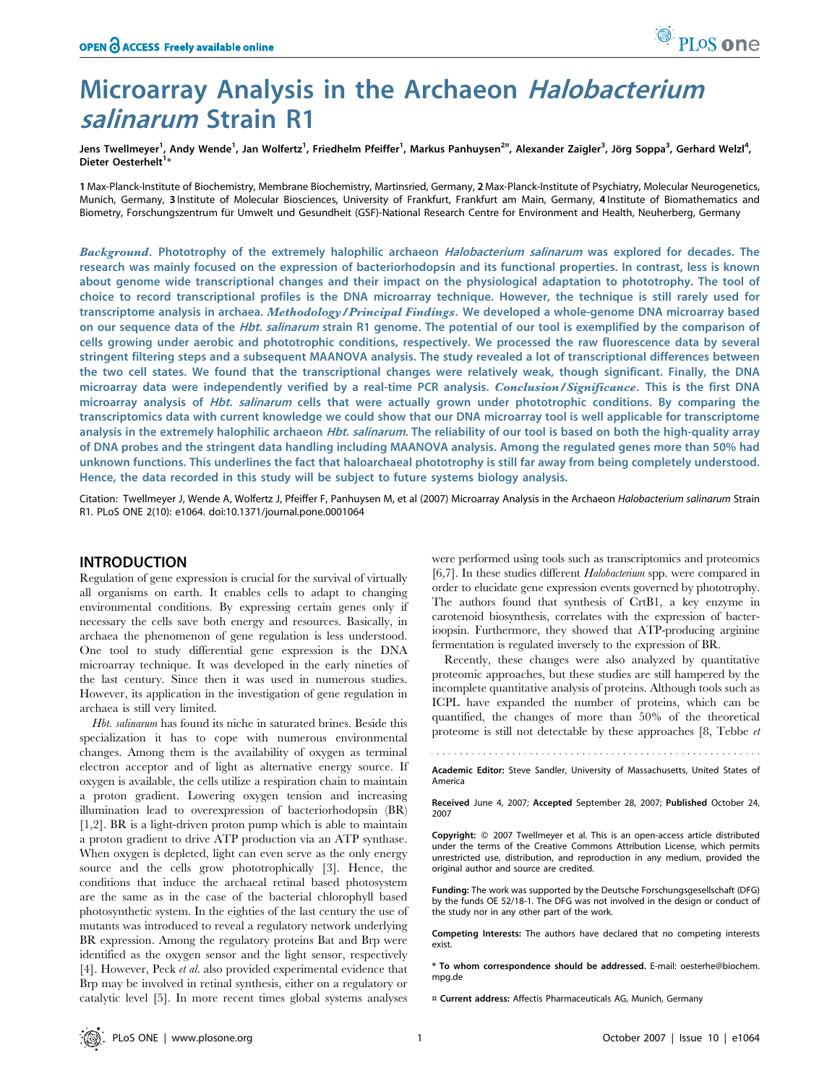# Microarray Analysis in the Archaeon Halobacterium salinarum Strain R1

Jens Twellmeyer<sup>1</sup>, Andy Wende<sup>1</sup>, Jan Wolfertz<sup>1</sup>, Friedhelm Pfeiffer<sup>1</sup>, Markus Panhuysen<sup>2¤</sup>, Alexander Zaigler<sup>3</sup>, Jörg Soppa<sup>3</sup>, Gerhard Welzl<sup>4</sup>, Dieter Oesterhelt<sup>1</sup>\*

1 Max-Planck-Institute of Biochemistry, Membrane Biochemistry, Martinsried, Germany, 2 Max-Planck-Institute of Psychiatry, Molecular Neurogenetics, Munich, Germany, 3 Institute of Molecular Biosciences, University of Frankfurt, Frankfurt am Main, Germany, 4 Institute of Biomathematics and Biometry, Forschungszentrum für Umwelt und Gesundheit (GSF)-National Research Centre for Environment and Health, Neuherberg, Germany

Background. Phototrophy of the extremely halophilic archaeon Halobacterium salinarum was explored for decades. The research was mainly focused on the expression of bacteriorhodopsin and its functional properties. In contrast, less is known about genome wide transcriptional changes and their impact on the physiological adaptation to phototrophy. The tool of choice to record transcriptional profiles is the DNA microarray technique. However, the technique is still rarely used for transcriptome analysis in archaea. Methodology/Principal Findings. We developed a whole-genome DNA microarray based on our sequence data of the *Hbt. salinarum* strain R1 genome. The potential of our tool is exemplified by the comparison of cells growing under aerobic and phototrophic conditions, respectively. We processed the raw fluorescence data by several stringent filtering steps and a subsequent MAANOVA analysis. The study revealed a lot of transcriptional differences between the two cell states. We found that the transcriptional changes were relatively weak, though significant. Finally, the DNA microarray data were independently verified by a real-time PCR analysis. Conclusion/Significance. This is the first DNA microarray analysis of Hbt. salinarum cells that were actually grown under phototrophic conditions. By comparing the transcriptomics data with current knowledge we could show that our DNA microarray tool is well applicable for transcriptome analysis in the extremely halophilic archaeon Hbt. salinarum. The reliability of our tool is based on both the high-quality array of DNA probes and the stringent data handling including MAANOVA analysis. Among the regulated genes more than 50% had unknown functions. This underlines the fact that haloarchaeal phototrophy is still far away from being completely understood. Hence, the data recorded in this study will be subject to future systems biology analysis.

Citation: Twellmeyer J, Wende A, Wolfertz J, Pfeiffer F, Panhuysen M, et al (2007) Microarray Analysis in the Archaeon Halobacterium salinarum Strain R1. PLoS ONE 2(10): e1064. doi:10.1371/journal.pone.0001064

# INTRODUCTION

Regulation of gene expression is crucial for the survival of virtually all organisms on earth. It enables cells to adapt to changing environmental conditions. By expressing certain genes only if necessary the cells save both energy and resources. Basically, in archaea the phenomenon of gene regulation is less understood. One tool to study differential gene expression is the DNA microarray technique. It was developed in the early nineties of the last century. Since then it was used in numerous studies. However, its application in the investigation of gene regulation in archaea is still very limited.

Hbt. salinarum has found its niche in saturated brines. Beside this specialization it has to cope with numerous environmental changes. Among them is the availability of oxygen as terminal electron acceptor and of light as alternative energy source. If oxygen is available, the cells utilize a respiration chain to maintain a proton gradient. Lowering oxygen tension and increasing illumination lead to overexpression of bacteriorhodopsin (BR) [1,2]. BR is a light-driven proton pump which is able to maintain a proton gradient to drive ATP production via an ATP synthase. When oxygen is depleted, light can even serve as the only energy source and the cells grow phototrophically [3]. Hence, the conditions that induce the archaeal retinal based photosystem are the same as in the case of the bacterial chlorophyll based photosynthetic system. In the eighties of the last century the use of mutants was introduced to reveal a regulatory network underlying BR expression. Among the regulatory proteins Bat and Brp were identified as the oxygen sensor and the light sensor, respectively [4]. However, Peck et al. also provided experimental evidence that Brp may be involved in retinal synthesis, either on a regulatory or catalytic level [5]. In more recent times global systems analyses

were performed using tools such as transcriptomics and proteomics [6,7]. In these studies different *Halobacterium* spp. were compared in order to elucidate gene expression events governed by phototrophy. The authors found that synthesis of CrtB1, a key enzyme in carotenoid biosynthesis, correlates with the expression of bacterioopsin. Furthermore, they showed that ATP-producing arginine fermentation is regulated inversely to the expression of BR.

PLoS one

Recently, these changes were also analyzed by quantitative proteomic approaches, but these studies are still hampered by the incomplete quantitative analysis of proteins. Although tools such as ICPL have expanded the number of proteins, which can be quantified, the changes of more than 50% of the theoretical proteome is still not detectable by these approaches [8, Tebbe et

Academic Editor: Steve Sandler, University of Massachusetts, United States of America

Received June 4, 2007; Accepted September 28, 2007; Published October 24, 2007

Copyright: © 2007 Twellmeyer et al. This is an open-access article distributed under the terms of the Creative Commons Attribution License, which permits unrestricted use, distribution, and reproduction in any medium, provided the original author and source are credited.

Funding: The work was supported by the Deutsche Forschungsgesellschaft (DFG) by the funds OE 52/18-1. The DFG was not involved in the design or conduct of the study nor in any other part of the work.

Competing Interests: The authors have declared that no competing interests exist.

\* To whom correspondence should be addressed. E-mail: oesterhe@biochem. mpg.de

¤ Current address: Affectis Pharmaceuticals AG, Munich, Germany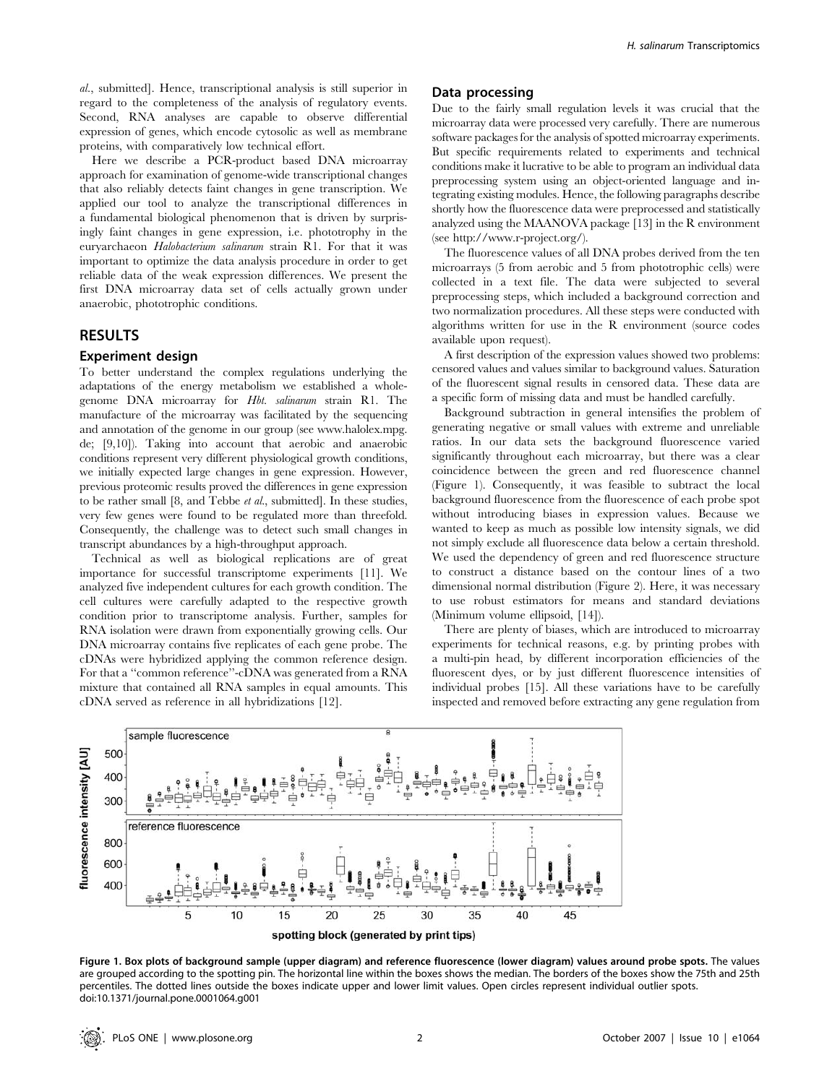al., submitted]. Hence, transcriptional analysis is still superior in regard to the completeness of the analysis of regulatory events. Second, RNA analyses are capable to observe differential expression of genes, which encode cytosolic as well as membrane proteins, with comparatively low technical effort.

Here we describe a PCR-product based DNA microarray approach for examination of genome-wide transcriptional changes that also reliably detects faint changes in gene transcription. We applied our tool to analyze the transcriptional differences in a fundamental biological phenomenon that is driven by surprisingly faint changes in gene expression, i.e. phototrophy in the euryarchaeon Halobacterium salinarum strain R1. For that it was important to optimize the data analysis procedure in order to get reliable data of the weak expression differences. We present the first DNA microarray data set of cells actually grown under anaerobic, phototrophic conditions.

## RESULTS

#### Experiment design

To better understand the complex regulations underlying the adaptations of the energy metabolism we established a wholegenome DNA microarray for Hbt. salinarum strain R1. The manufacture of the microarray was facilitated by the sequencing and annotation of the genome in our group (see www.halolex.mpg. de; [9,10]). Taking into account that aerobic and anaerobic conditions represent very different physiological growth conditions, we initially expected large changes in gene expression. However, previous proteomic results proved the differences in gene expression to be rather small [8, and Tebbe et al., submitted]. In these studies, very few genes were found to be regulated more than threefold. Consequently, the challenge was to detect such small changes in transcript abundances by a high-throughput approach.

Technical as well as biological replications are of great importance for successful transcriptome experiments [11]. We analyzed five independent cultures for each growth condition. The cell cultures were carefully adapted to the respective growth condition prior to transcriptome analysis. Further, samples for RNA isolation were drawn from exponentially growing cells. Our DNA microarray contains five replicates of each gene probe. The cDNAs were hybridized applying the common reference design. For that a ''common reference''-cDNA was generated from a RNA mixture that contained all RNA samples in equal amounts. This cDNA served as reference in all hybridizations [12].

#### Data processing

Due to the fairly small regulation levels it was crucial that the microarray data were processed very carefully. There are numerous software packages for the analysis of spotted microarray experiments. But specific requirements related to experiments and technical conditions make it lucrative to be able to program an individual data preprocessing system using an object-oriented language and integrating existing modules. Hence, the following paragraphs describe shortly how the fluorescence data were preprocessed and statistically analyzed using the MAANOVA package [13] in the R environment (see http://www.r-project.org/).

The fluorescence values of all DNA probes derived from the ten microarrays (5 from aerobic and 5 from phototrophic cells) were collected in a text file. The data were subjected to several preprocessing steps, which included a background correction and two normalization procedures. All these steps were conducted with algorithms written for use in the R environment (source codes available upon request).

A first description of the expression values showed two problems: censored values and values similar to background values. Saturation of the fluorescent signal results in censored data. These data are a specific form of missing data and must be handled carefully.

Background subtraction in general intensifies the problem of generating negative or small values with extreme and unreliable ratios. In our data sets the background fluorescence varied significantly throughout each microarray, but there was a clear coincidence between the green and red fluorescence channel (Figure 1). Consequently, it was feasible to subtract the local background fluorescence from the fluorescence of each probe spot without introducing biases in expression values. Because we wanted to keep as much as possible low intensity signals, we did not simply exclude all fluorescence data below a certain threshold. We used the dependency of green and red fluorescence structure to construct a distance based on the contour lines of a two dimensional normal distribution (Figure 2). Here, it was necessary to use robust estimators for means and standard deviations (Minimum volume ellipsoid, [14]).

There are plenty of biases, which are introduced to microarray experiments for technical reasons, e.g. by printing probes with a multi-pin head, by different incorporation efficiencies of the fluorescent dyes, or by just different fluorescence intensities of individual probes [15]. All these variations have to be carefully inspected and removed before extracting any gene regulation from



Figure 1. Box plots of background sample (upper diagram) and reference fluorescence (lower diagram) values around probe spots. The values are grouped according to the spotting pin. The horizontal line within the boxes shows the median. The borders of the boxes show the 75th and 25th percentiles. The dotted lines outside the boxes indicate upper and lower limit values. Open circles represent individual outlier spots. doi:10.1371/journal.pone.0001064.g001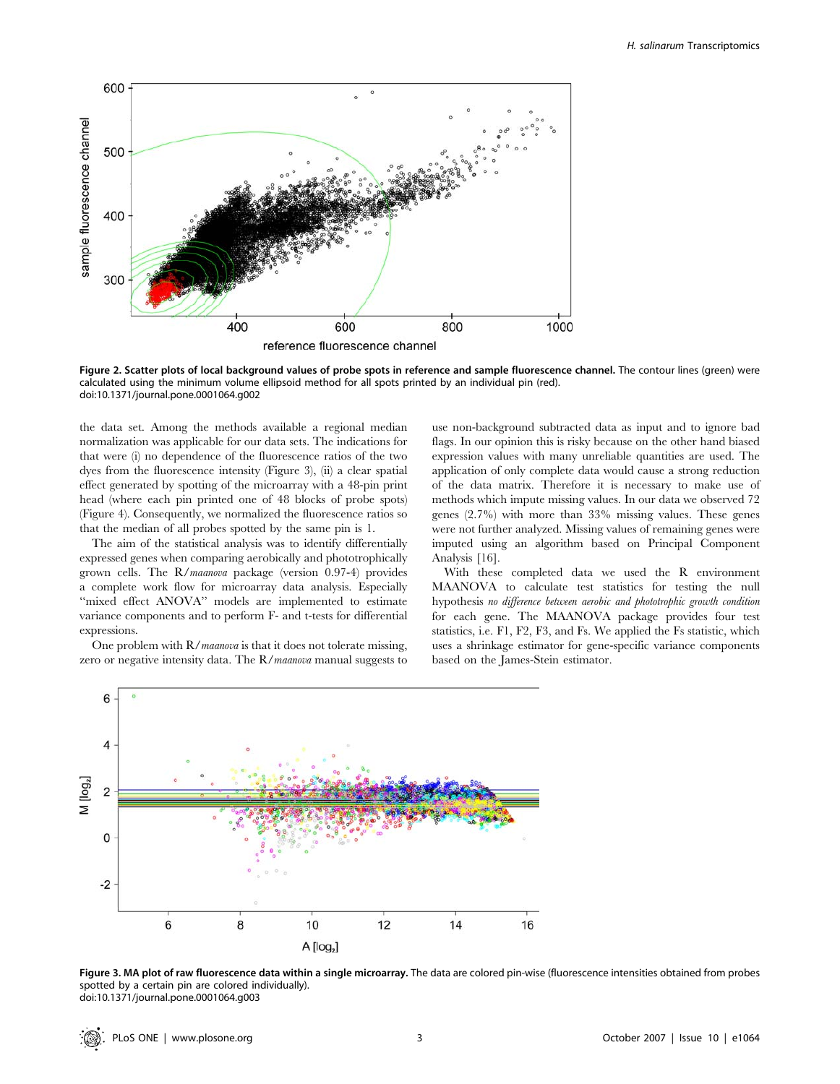

Figure 2. Scatter plots of local background values of probe spots in reference and sample fluorescence channel. The contour lines (green) were calculated using the minimum volume ellipsoid method for all spots printed by an individual pin (red). doi:10.1371/journal.pone.0001064.g002

the data set. Among the methods available a regional median normalization was applicable for our data sets. The indications for that were (i) no dependence of the fluorescence ratios of the two dyes from the fluorescence intensity (Figure 3), (ii) a clear spatial effect generated by spotting of the microarray with a 48-pin print head (where each pin printed one of 48 blocks of probe spots) (Figure 4). Consequently, we normalized the fluorescence ratios so that the median of all probes spotted by the same pin is 1.

The aim of the statistical analysis was to identify differentially expressed genes when comparing aerobically and phototrophically grown cells. The R/maanova package (version 0.97-4) provides a complete work flow for microarray data analysis. Especially ''mixed effect ANOVA'' models are implemented to estimate variance components and to perform F- and t-tests for differential expressions.

One problem with  $R/maanova$  is that it does not tolerate missing, zero or negative intensity data. The R/maanova manual suggests to use non-background subtracted data as input and to ignore bad flags. In our opinion this is risky because on the other hand biased expression values with many unreliable quantities are used. The application of only complete data would cause a strong reduction of the data matrix. Therefore it is necessary to make use of methods which impute missing values. In our data we observed 72 genes (2.7%) with more than 33% missing values. These genes were not further analyzed. Missing values of remaining genes were imputed using an algorithm based on Principal Component Analysis [16].

With these completed data we used the R environment MAANOVA to calculate test statistics for testing the null hypothesis no difference between aerobic and phototrophic growth condition for each gene. The MAANOVA package provides four test statistics, i.e. F1, F2, F3, and Fs. We applied the Fs statistic, which uses a shrinkage estimator for gene-specific variance components based on the James-Stein estimator.



Figure 3. MA plot of raw fluorescence data within a single microarray. The data are colored pin-wise (fluorescence intensities obtained from probes spotted by a certain pin are colored individually). doi:10.1371/journal.pone.0001064.g003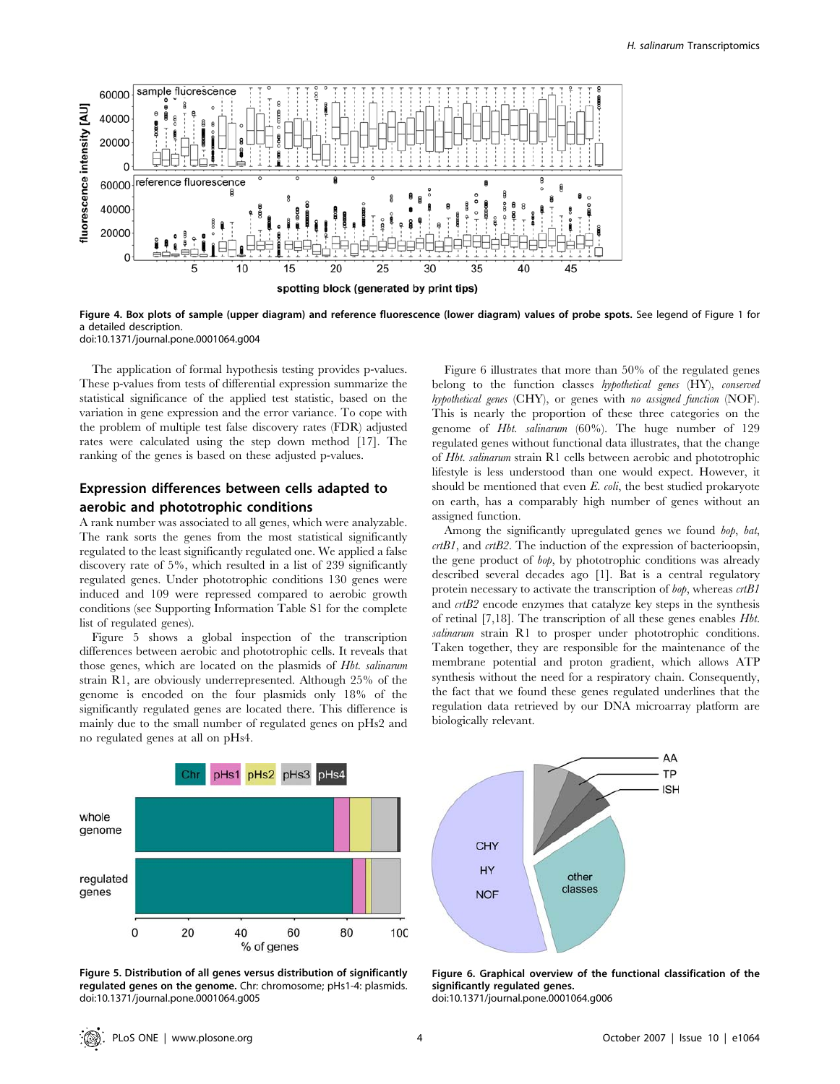

Figure 4. Box plots of sample (upper diagram) and reference fluorescence (lower diagram) values of probe spots. See legend of Figure 1 for a detailed description. doi:10.1371/journal.pone.0001064.g004

The application of formal hypothesis testing provides p-values. These p-values from tests of differential expression summarize the statistical significance of the applied test statistic, based on the variation in gene expression and the error variance. To cope with the problem of multiple test false discovery rates (FDR) adjusted rates were calculated using the step down method [17]. The ranking of the genes is based on these adjusted p-values.

# Expression differences between cells adapted to aerobic and phototrophic conditions

A rank number was associated to all genes, which were analyzable. The rank sorts the genes from the most statistical significantly regulated to the least significantly regulated one. We applied a false discovery rate of 5%, which resulted in a list of 239 significantly regulated genes. Under phototrophic conditions 130 genes were induced and 109 were repressed compared to aerobic growth conditions (see Supporting Information Table S1 for the complete list of regulated genes).

Figure 5 shows a global inspection of the transcription differences between aerobic and phototrophic cells. It reveals that those genes, which are located on the plasmids of Hbt. salinarum strain R1, are obviously underrepresented. Although 25% of the genome is encoded on the four plasmids only 18% of the significantly regulated genes are located there. This difference is mainly due to the small number of regulated genes on pHs2 and no regulated genes at all on pHs4.

Figure 6 illustrates that more than 50% of the regulated genes belong to the function classes hypothetical genes (HY), conserved hypothetical genes (CHY), or genes with no assigned function (NOF). This is nearly the proportion of these three categories on the genome of Hbt. salinarum (60%). The huge number of 129 regulated genes without functional data illustrates, that the change of Hbt. salinarum strain R1 cells between aerobic and phototrophic lifestyle is less understood than one would expect. However, it should be mentioned that even  $E.$  coli, the best studied prokaryote on earth, has a comparably high number of genes without an assigned function.

Among the significantly upregulated genes we found bop, bat,  $crtB1$ , and  $crtB2$ . The induction of the expression of bacterioopsin, the gene product of bop, by phototrophic conditions was already described several decades ago [1]. Bat is a central regulatory protein necessary to activate the transcription of  $b\ddot{o}p$ , whereas  $crtBI$ and crtB2 encode enzymes that catalyze key steps in the synthesis of retinal [7,18]. The transcription of all these genes enables Hbt. salinarum strain R1 to prosper under phototrophic conditions. Taken together, they are responsible for the maintenance of the membrane potential and proton gradient, which allows ATP synthesis without the need for a respiratory chain. Consequently, the fact that we found these genes regulated underlines that the regulation data retrieved by our DNA microarray platform are biologically relevant.



Figure 5. Distribution of all genes versus distribution of significantly regulated genes on the genome. Chr: chromosome; pHs1-4: plasmids. doi:10.1371/journal.pone.0001064.g005



Figure 6. Graphical overview of the functional classification of the significantly regulated genes. doi:10.1371/journal.pone.0001064.g006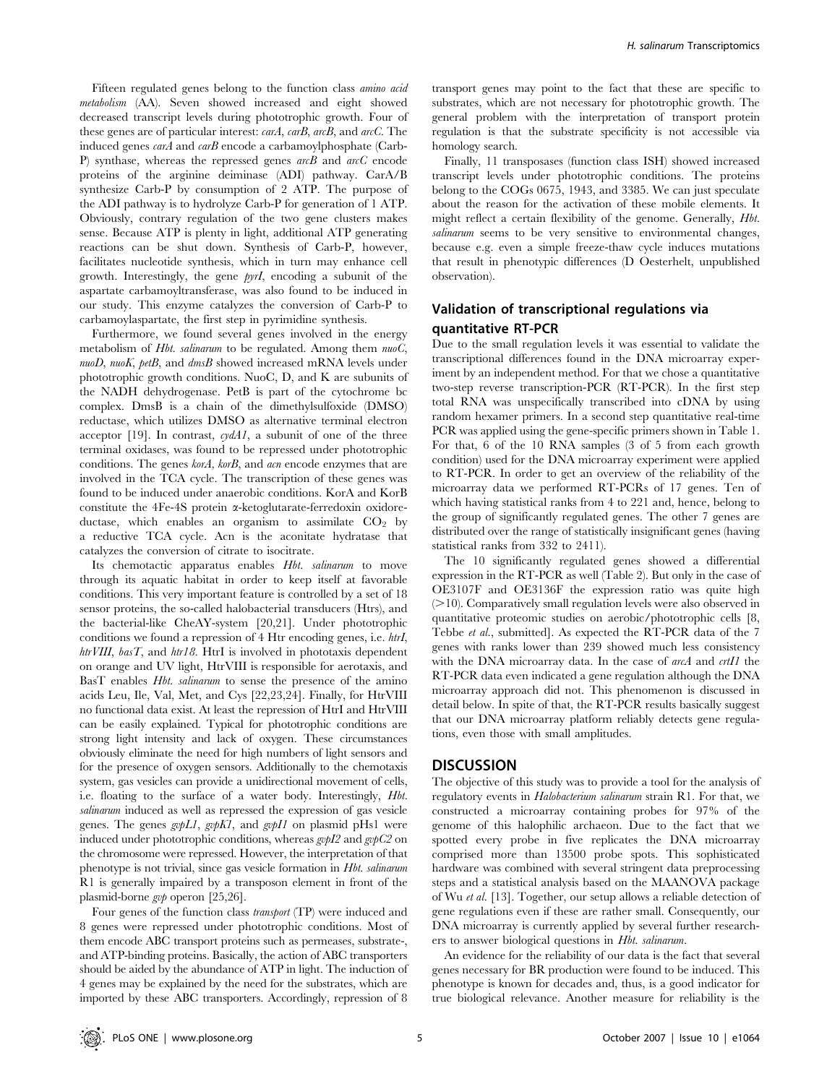Fifteen regulated genes belong to the function class amino acid metabolism (AA). Seven showed increased and eight showed decreased transcript levels during phototrophic growth. Four of these genes are of particular interest: carA, carB, arcB, and arcC. The induced genes *carA* and *carB* encode a carbamoylphosphate (Carb-P) synthase, whereas the repressed genes arcB and arcC encode proteins of the arginine deiminase (ADI) pathway. CarA/B synthesize Carb-P by consumption of 2 ATP. The purpose of the ADI pathway is to hydrolyze Carb-P for generation of 1 ATP. Obviously, contrary regulation of the two gene clusters makes sense. Because ATP is plenty in light, additional ATP generating reactions can be shut down. Synthesis of Carb-P, however, facilitates nucleotide synthesis, which in turn may enhance cell growth. Interestingly, the gene pyrI, encoding a subunit of the aspartate carbamoyltransferase, was also found to be induced in our study. This enzyme catalyzes the conversion of Carb-P to carbamoylaspartate, the first step in pyrimidine synthesis.

Furthermore, we found several genes involved in the energy metabolism of *Hbt. salinarum* to be regulated. Among them  $nu_0C$ , nuoD, nuoK, petB, and dmsB showed increased mRNA levels under phototrophic growth conditions. NuoC, D, and K are subunits of the NADH dehydrogenase. PetB is part of the cytochrome bc complex. DmsB is a chain of the dimethylsulfoxide (DMSO) reductase, which utilizes DMSO as alternative terminal electron acceptor [19]. In contrast,  $c \gamma dA I$ , a subunit of one of the three terminal oxidases, was found to be repressed under phototrophic conditions. The genes korA, korB, and acn encode enzymes that are involved in the TCA cycle. The transcription of these genes was found to be induced under anaerobic conditions. KorA and KorB constitute the 4Fe-4S protein a-ketoglutarate-ferredoxin oxidoreductase, which enables an organism to assimilate  $CO<sub>2</sub>$  by a reductive TCA cycle. Acn is the aconitate hydratase that catalyzes the conversion of citrate to isocitrate.

Its chemotactic apparatus enables Hbt. salinarum to move through its aquatic habitat in order to keep itself at favorable conditions. This very important feature is controlled by a set of 18 sensor proteins, the so-called halobacterial transducers (Htrs), and the bacterial-like CheAY-system [20,21]. Under phototrophic conditions we found a repression of 4 Htr encoding genes, i.e. htrI, htrVIII,  $basT$ , and  $htr18$ . HtrI is involved in phototaxis dependent on orange and UV light, HtrVIII is responsible for aerotaxis, and BasT enables *Hbt. salinarum* to sense the presence of the amino acids Leu, Ile, Val, Met, and Cys [22,23,24]. Finally, for HtrVIII no functional data exist. At least the repression of HtrI and HtrVIII can be easily explained. Typical for phototrophic conditions are strong light intensity and lack of oxygen. These circumstances obviously eliminate the need for high numbers of light sensors and for the presence of oxygen sensors. Additionally to the chemotaxis system, gas vesicles can provide a unidirectional movement of cells, i.e. floating to the surface of a water body. Interestingly, Hbt. salinarum induced as well as repressed the expression of gas vesicle genes. The genes  $g\nu pLI$ ,  $g\nu pKI$ , and  $g\nu pII$  on plasmid pHs1 were induced under phototrophic conditions, whereas  $g\nu pI2$  and  $g\nu pC2$  on the chromosome were repressed. However, the interpretation of that phenotype is not trivial, since gas vesicle formation in Hbt. salinarum R1 is generally impaired by a transposon element in front of the plasmid-borne gvp operon [25,26].

Four genes of the function class transport (TP) were induced and 8 genes were repressed under phototrophic conditions. Most of them encode ABC transport proteins such as permeases, substrate-, and ATP-binding proteins. Basically, the action of ABC transporters should be aided by the abundance of ATP in light. The induction of 4 genes may be explained by the need for the substrates, which are imported by these ABC transporters. Accordingly, repression of 8 transport genes may point to the fact that these are specific to substrates, which are not necessary for phototrophic growth. The general problem with the interpretation of transport protein regulation is that the substrate specificity is not accessible via homology search.

Finally, 11 transposases (function class ISH) showed increased transcript levels under phototrophic conditions. The proteins belong to the COGs 0675, 1943, and 3385. We can just speculate about the reason for the activation of these mobile elements. It might reflect a certain flexibility of the genome. Generally, Hbt. salinarum seems to be very sensitive to environmental changes, because e.g. even a simple freeze-thaw cycle induces mutations that result in phenotypic differences (D Oesterhelt, unpublished observation).

# Validation of transcriptional regulations via quantitative RT-PCR

Due to the small regulation levels it was essential to validate the transcriptional differences found in the DNA microarray experiment by an independent method. For that we chose a quantitative two-step reverse transcription-PCR (RT-PCR). In the first step total RNA was unspecifically transcribed into cDNA by using random hexamer primers. In a second step quantitative real-time PCR was applied using the gene-specific primers shown in Table 1. For that, 6 of the 10 RNA samples (3 of 5 from each growth condition) used for the DNA microarray experiment were applied to RT-PCR. In order to get an overview of the reliability of the microarray data we performed RT-PCRs of 17 genes. Ten of which having statistical ranks from 4 to 221 and, hence, belong to the group of significantly regulated genes. The other 7 genes are distributed over the range of statistically insignificant genes (having statistical ranks from 332 to 2411).

The 10 significantly regulated genes showed a differential expression in the RT-PCR as well (Table 2). But only in the case of OE3107F and OE3136F the expression ratio was quite high  $(>10)$ . Comparatively small regulation levels were also observed in quantitative proteomic studies on aerobic/phototrophic cells [8, Tebbe et al., submitted]. As expected the RT-PCR data of the 7 genes with ranks lower than 239 showed much less consistency with the DNA microarray data. In the case of arcA and crtI1 the RT-PCR data even indicated a gene regulation although the DNA microarray approach did not. This phenomenon is discussed in detail below. In spite of that, the RT-PCR results basically suggest that our DNA microarray platform reliably detects gene regulations, even those with small amplitudes.

## **DISCUSSION**

The objective of this study was to provide a tool for the analysis of regulatory events in *Halobacterium salinarum* strain R1. For that, we constructed a microarray containing probes for 97% of the genome of this halophilic archaeon. Due to the fact that we spotted every probe in five replicates the DNA microarray comprised more than 13500 probe spots. This sophisticated hardware was combined with several stringent data preprocessing steps and a statistical analysis based on the MAANOVA package of Wu et al. [13]. Together, our setup allows a reliable detection of gene regulations even if these are rather small. Consequently, our DNA microarray is currently applied by several further researchers to answer biological questions in Hbt. salinarum.

An evidence for the reliability of our data is the fact that several genes necessary for BR production were found to be induced. This phenotype is known for decades and, thus, is a good indicator for true biological relevance. Another measure for reliability is the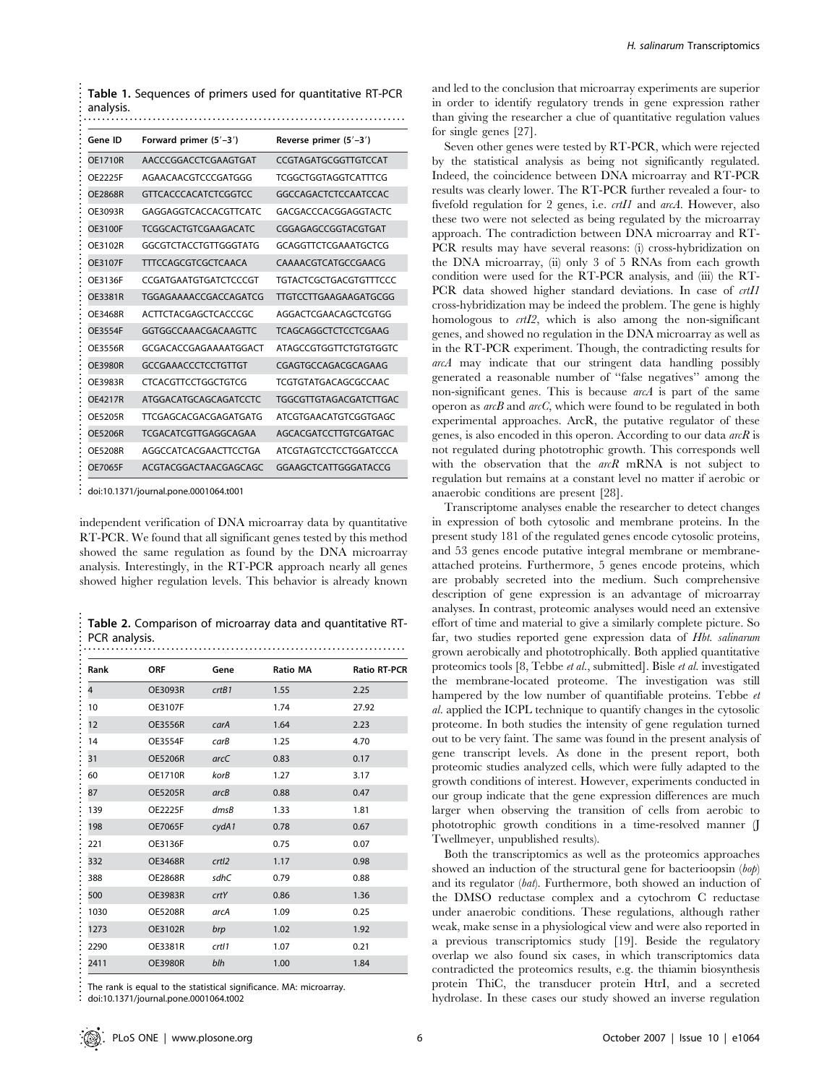| <b>Table 1.</b> Sequences of primers used for quantitative RT-PCR<br>analysis. |                                       |                               |  |  |
|--------------------------------------------------------------------------------|---------------------------------------|-------------------------------|--|--|
| Gene ID                                                                        | Forward primer (5'-3')                | Reverse primer (5'-3')        |  |  |
| <b>OE1710R</b>                                                                 | AACCCGGACCTCGAAGTGAT                  | CCGTAGATGCGGTTGTCCAT          |  |  |
| OE2225F                                                                        | AGAACAACGTCCCGATGGG                   | TCGGCTGGTAGGTCATTTCG          |  |  |
| <b>OE2868R</b>                                                                 | <b>GTTCACCCACATCTCGGTCC</b>           | GGCCAGACTCTCCAATCCAC          |  |  |
| OE3093R                                                                        | GAGGAGGTCACCACGTTCATC                 | GACGACCCACGGAGGTACTC          |  |  |
| OE3100F                                                                        | <b>TCGGCACTGTCGAAGACATC</b>           | CGGAGAGCCGGTACGTGAT           |  |  |
| OE3102R                                                                        | GGCGTCTACCTGTTGGGTATG                 | GCAGGTTCTCGAAATGCTCG          |  |  |
| OE3107F                                                                        | TTTCCAGCGTCGCTCAACA                   | CAAAACGTCATGCCGAACG           |  |  |
| OE3136F                                                                        | CCGATGAATGTGATCTCCCGT                 | <b>TGTACTCGCTGACGTGTTTCCC</b> |  |  |
| OE3381R                                                                        | TGGAGAAAACCGACCAGATCG                 | <b>TTGTCCTTGAAGAAGATGCGG</b>  |  |  |
| OE3468R                                                                        | ACTTCTACGAGCTCACCCGC                  | AGGACTCGAACAGCTCGTGG          |  |  |
| <b>OE3554F</b>                                                                 | GGTGGCCAAACGACAAGTTC                  | <b>TCAGCAGGCTCTCCTCGAAG</b>   |  |  |
| OE3556R                                                                        | GCGACACCGAGAAAATGGACT                 | <b>ATAGCCGTGGTTCTGTGTGGTC</b> |  |  |
| <b>OE3980R</b>                                                                 | <b>GCCGAAACCCTCCTGTTGT</b>            | CGAGTGCCAGACGCAGAAG           |  |  |
| OE3983R                                                                        | CTCACGTTCCTGGCTGTCG                   | TCGTGTATGACAGCGCCAAC          |  |  |
| <b>OE4217R</b>                                                                 | ATGGACATGCAGCAGATCCTC                 | <b>TGGCGTTGTAGACGATCTTGAC</b> |  |  |
| <b>OE5205R</b>                                                                 | TTCGAGCACGACGAGATGATG                 | ATCGTGAACATGTCGGTGAGC         |  |  |
| <b>OE5206R</b>                                                                 | TCGACATCGTTGAGGCAGAA                  | AGCACGATCCTTGTCGATGAC         |  |  |
| <b>OE5208R</b>                                                                 | AGGCCATCACGAACTTCCTGA                 | ATCGTAGTCCTCCTGGATCCCA        |  |  |
| <b>OE7065F</b>                                                                 | ACGTACGGACTAACGAGCAGC                 | GGAAGCTCATTGGGATACCG          |  |  |
|                                                                                | doi:10.1371/journal.pone.0001064.t001 |                               |  |  |

doi:10.1371/journal.pone.0001064.t001

independent verification of DNA microarray data by quantitative RT-PCR. We found that all significant genes tested by this method showed the same regulation as found by the DNA microarray analysis. Interestingly, in the RT-PCR approach nearly all genes showed higher regulation levels. This behavior is already known

Table 2. Comparison of microarray data and quantitative RT-PCR analysis.

| Rank           | <b>ORF</b>     | Gene  | <b>Ratio MA</b> | <b>Ratio RT-PCR</b> |
|----------------|----------------|-------|-----------------|---------------------|
| $\overline{4}$ | <b>OE3093R</b> | crtB1 | 1.55            | 2.25                |
| 10             | <b>OE3107F</b> |       | 1.74            | 27.92               |
| 12             | <b>OE3556R</b> | carA  | 1.64            | 2.23                |
| 14             | <b>OE3554F</b> | carB  | 1.25            | 4.70                |
| 31             | <b>OE5206R</b> | arcC  | 0.83            | 0.17                |
| 60             | <b>OE1710R</b> | korB  | 1.27            | 3.17                |
| 87             | <b>OE5205R</b> | arcB  | 0.88            | 0.47                |
| 139            | <b>OE2225F</b> | dmsB  | 1.33            | 1.81                |
| 198            | <b>OE7065F</b> | cydA1 | 0.78            | 0.67                |
| 221            | OE3136F        |       | 0.75            | 0.07                |
| 332            | <b>OE3468R</b> | crtl2 | 1.17            | 0.98                |
| 388            | <b>OE2868R</b> | sdhC  | 0.79            | 0.88                |
| 500            | <b>OE3983R</b> | crtY  | 0.86            | 1.36                |
| 1030           | <b>OE5208R</b> | arcA  | 1.09            | 0.25                |
| 1273           | <b>OE3102R</b> | brp   | 1.02            | 1.92                |
| 2290           | <b>OE3381R</b> | crtl1 | 1.07            | 0.21                |
| 2411           | <b>OE3980R</b> | blh   | 1.00            | 1.84                |

doi:10.1371/journal.pone.0001064.t002

and led to the conclusion that microarray experiments are superior in order to identify regulatory trends in gene expression rather than giving the researcher a clue of quantitative regulation values for single genes [27].

Seven other genes were tested by RT-PCR, which were rejected by the statistical analysis as being not significantly regulated. Indeed, the coincidence between DNA microarray and RT-PCR results was clearly lower. The RT-PCR further revealed a four- to fivefold regulation for 2 genes, i.e. *crtI1* and *arcA*. However, also these two were not selected as being regulated by the microarray approach. The contradiction between DNA microarray and RT-PCR results may have several reasons: (i) cross-hybridization on the DNA microarray, (ii) only 3 of 5 RNAs from each growth condition were used for the RT-PCR analysis, and (iii) the RT-PCR data showed higher standard deviations. In case of crtI1 cross-hybridization may be indeed the problem. The gene is highly homologous to *crtI2*, which is also among the non-significant genes, and showed no regulation in the DNA microarray as well as in the RT-PCR experiment. Though, the contradicting results for arcA may indicate that our stringent data handling possibly generated a reasonable number of ''false negatives'' among the non-significant genes. This is because arcA is part of the same operon as  $arcB$  and  $arcC$ , which were found to be regulated in both experimental approaches. ArcR, the putative regulator of these genes, is also encoded in this operon. According to our data  $arcR$  is not regulated during phototrophic growth. This corresponds well with the observation that the  $arcR$  mRNA is not subject to regulation but remains at a constant level no matter if aerobic or anaerobic conditions are present [28].

Transcriptome analyses enable the researcher to detect changes in expression of both cytosolic and membrane proteins. In the present study 181 of the regulated genes encode cytosolic proteins, and 53 genes encode putative integral membrane or membraneattached proteins. Furthermore, 5 genes encode proteins, which are probably secreted into the medium. Such comprehensive description of gene expression is an advantage of microarray analyses. In contrast, proteomic analyses would need an extensive effort of time and material to give a similarly complete picture. So far, two studies reported gene expression data of Hbt. salinarum grown aerobically and phototrophically. Both applied quantitative proteomics tools [8, Tebbe et al., submitted]. Bisle et al. investigated the membrane-located proteome. The investigation was still hampered by the low number of quantifiable proteins. Tebbe et al. applied the ICPL technique to quantify changes in the cytosolic proteome. In both studies the intensity of gene regulation turned out to be very faint. The same was found in the present analysis of gene transcript levels. As done in the present report, both proteomic studies analyzed cells, which were fully adapted to the growth conditions of interest. However, experiments conducted in our group indicate that the gene expression differences are much larger when observing the transition of cells from aerobic to phototrophic growth conditions in a time-resolved manner (J Twellmeyer, unpublished results).

Both the transcriptomics as well as the proteomics approaches showed an induction of the structural gene for bacterioopsin (bop) and its regulator (bat). Furthermore, both showed an induction of the DMSO reductase complex and a cytochrom C reductase under anaerobic conditions. These regulations, although rather weak, make sense in a physiological view and were also reported in a previous transcriptomics study [19]. Beside the regulatory overlap we also found six cases, in which transcriptomics data contradicted the proteomics results, e.g. the thiamin biosynthesis protein ThiC, the transducer protein HtrI, and a secreted hydrolase. In these cases our study showed an inverse regulation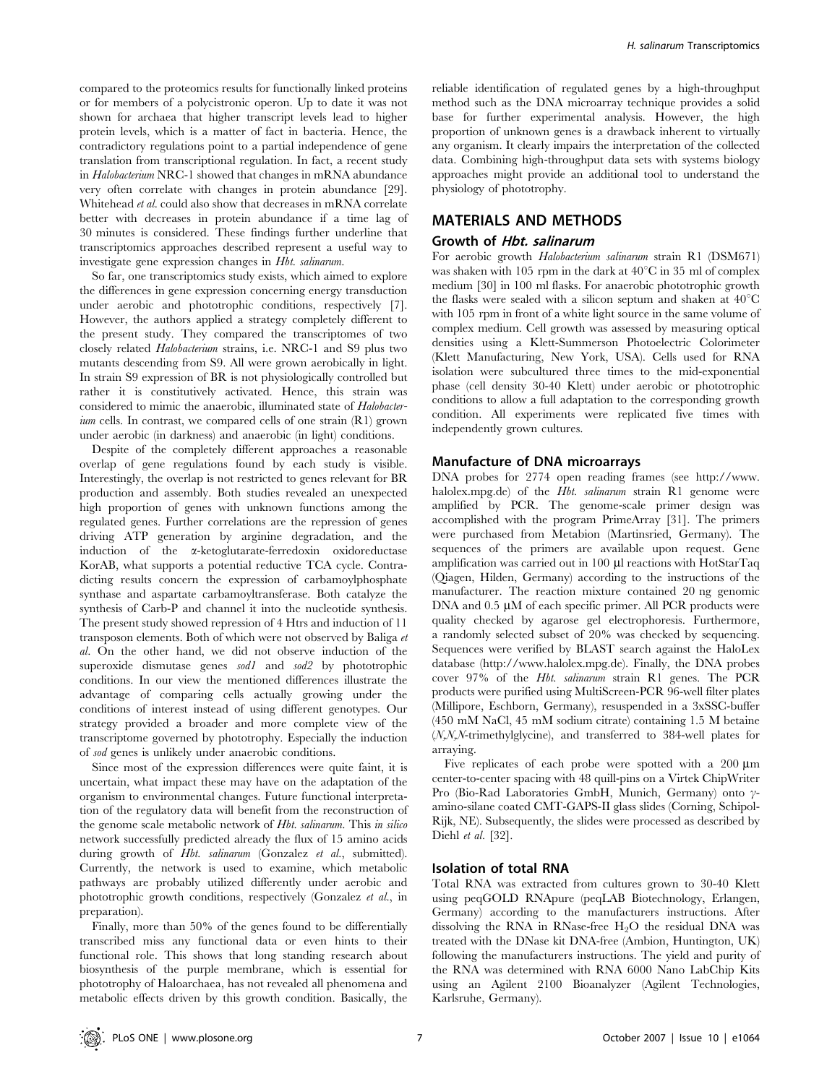compared to the proteomics results for functionally linked proteins or for members of a polycistronic operon. Up to date it was not shown for archaea that higher transcript levels lead to higher protein levels, which is a matter of fact in bacteria. Hence, the contradictory regulations point to a partial independence of gene translation from transcriptional regulation. In fact, a recent study in Halobacterium NRC-1 showed that changes in mRNA abundance very often correlate with changes in protein abundance [29]. Whitehead et al. could also show that decreases in mRNA correlate better with decreases in protein abundance if a time lag of 30 minutes is considered. These findings further underline that transcriptomics approaches described represent a useful way to investigate gene expression changes in Hbt. salinarum.

So far, one transcriptomics study exists, which aimed to explore the differences in gene expression concerning energy transduction under aerobic and phototrophic conditions, respectively [7]. However, the authors applied a strategy completely different to the present study. They compared the transcriptomes of two closely related Halobacterium strains, i.e. NRC-1 and S9 plus two mutants descending from S9. All were grown aerobically in light. In strain S9 expression of BR is not physiologically controlled but rather it is constitutively activated. Hence, this strain was considered to mimic the anaerobic, illuminated state of Halobacter- $\dot{u}$  cells. In contrast, we compared cells of one strain  $(R1)$  grown under aerobic (in darkness) and anaerobic (in light) conditions.

Despite of the completely different approaches a reasonable overlap of gene regulations found by each study is visible. Interestingly, the overlap is not restricted to genes relevant for BR production and assembly. Both studies revealed an unexpected high proportion of genes with unknown functions among the regulated genes. Further correlations are the repression of genes driving ATP generation by arginine degradation, and the induction of the a-ketoglutarate-ferredoxin oxidoreductase KorAB, what supports a potential reductive TCA cycle. Contradicting results concern the expression of carbamoylphosphate synthase and aspartate carbamoyltransferase. Both catalyze the synthesis of Carb-P and channel it into the nucleotide synthesis. The present study showed repression of 4 Htrs and induction of 11 transposon elements. Both of which were not observed by Baliga et al. On the other hand, we did not observe induction of the superoxide dismutase genes sod1 and sod2 by phototrophic conditions. In our view the mentioned differences illustrate the advantage of comparing cells actually growing under the conditions of interest instead of using different genotypes. Our strategy provided a broader and more complete view of the transcriptome governed by phototrophy. Especially the induction of sod genes is unlikely under anaerobic conditions.

Since most of the expression differences were quite faint, it is uncertain, what impact these may have on the adaptation of the organism to environmental changes. Future functional interpretation of the regulatory data will benefit from the reconstruction of the genome scale metabolic network of Hbt. salinarum. This in silico network successfully predicted already the flux of 15 amino acids during growth of *Hbt. salinarum* (Gonzalez et al., submitted). Currently, the network is used to examine, which metabolic pathways are probably utilized differently under aerobic and phototrophic growth conditions, respectively (Gonzalez et al., in preparation).

Finally, more than 50% of the genes found to be differentially transcribed miss any functional data or even hints to their functional role. This shows that long standing research about biosynthesis of the purple membrane, which is essential for phototrophy of Haloarchaea, has not revealed all phenomena and metabolic effects driven by this growth condition. Basically, the

reliable identification of regulated genes by a high-throughput method such as the DNA microarray technique provides a solid base for further experimental analysis. However, the high proportion of unknown genes is a drawback inherent to virtually any organism. It clearly impairs the interpretation of the collected data. Combining high-throughput data sets with systems biology approaches might provide an additional tool to understand the physiology of phototrophy.

## MATERIALS AND METHODS

#### Growth of Hbt. salinarum

For aerobic growth *Halobacterium salinarum* strain R1 (DSM671) was shaken with 105 rpm in the dark at  $40^{\circ}$ C in 35 ml of complex medium [30] in 100 ml flasks. For anaerobic phototrophic growth the flasks were sealed with a silicon septum and shaken at  $40^{\circ}$ C with 105 rpm in front of a white light source in the same volume of complex medium. Cell growth was assessed by measuring optical densities using a Klett-Summerson Photoelectric Colorimeter (Klett Manufacturing, New York, USA). Cells used for RNA isolation were subcultured three times to the mid-exponential phase (cell density 30-40 Klett) under aerobic or phototrophic conditions to allow a full adaptation to the corresponding growth condition. All experiments were replicated five times with independently grown cultures.

#### Manufacture of DNA microarrays

DNA probes for 2774 open reading frames (see http://www. halolex.mpg.de) of the *Hbt. salinarum* strain R1 genome were amplified by PCR. The genome-scale primer design was accomplished with the program PrimeArray [31]. The primers were purchased from Metabion (Martinsried, Germany). The sequences of the primers are available upon request. Gene amplification was carried out in  $100 \mu$ l reactions with HotStarTaq (Qiagen, Hilden, Germany) according to the instructions of the manufacturer. The reaction mixture contained 20 ng genomic DNA and  $0.5 \mu M$  of each specific primer. All PCR products were quality checked by agarose gel electrophoresis. Furthermore, a randomly selected subset of 20% was checked by sequencing. Sequences were verified by BLAST search against the HaloLex database (http://www.halolex.mpg.de). Finally, the DNA probes cover 97% of the Hbt. salinarum strain R1 genes. The PCR products were purified using MultiScreen-PCR 96-well filter plates (Millipore, Eschborn, Germany), resuspended in a 3xSSC-buffer (450 mM NaCl, 45 mM sodium citrate) containing 1.5 M betaine (N,N,N-trimethylglycine), and transferred to 384-well plates for arraying.

Five replicates of each probe were spotted with a  $200 \mu m$ center-to-center spacing with 48 quill-pins on a Virtek ChipWriter Pro (Bio-Rad Laboratories GmbH, Munich, Germany) onto  $\gamma$ amino-silane coated CMT-GAPS-II glass slides (Corning, Schipol-Rijk, NE). Subsequently, the slides were processed as described by Diehl et al. [32].

#### Isolation of total RNA

Total RNA was extracted from cultures grown to 30-40 Klett using peqGOLD RNApure (peqLAB Biotechnology, Erlangen, Germany) according to the manufacturers instructions. After dissolving the RNA in RNase-free  $H_2O$  the residual DNA was treated with the DNase kit DNA-free (Ambion, Huntington, UK) following the manufacturers instructions. The yield and purity of the RNA was determined with RNA 6000 Nano LabChip Kits using an Agilent 2100 Bioanalyzer (Agilent Technologies, Karlsruhe, Germany).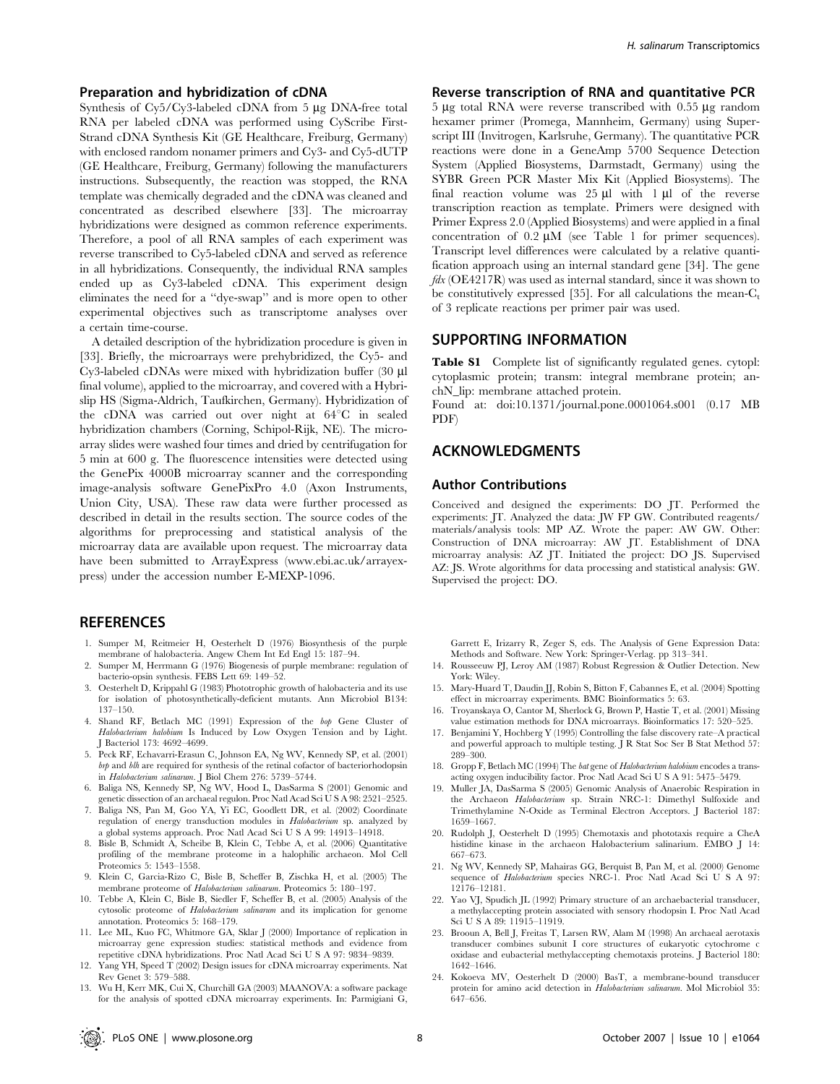#### Preparation and hybridization of cDNA

Synthesis of  $Cv5/Cv3$ -labeled cDNA from 5  $\mu$ g DNA-free total RNA per labeled cDNA was performed using CyScribe First-Strand cDNA Synthesis Kit (GE Healthcare, Freiburg, Germany) with enclosed random nonamer primers and Cy3- and Cy5-dUTP (GE Healthcare, Freiburg, Germany) following the manufacturers instructions. Subsequently, the reaction was stopped, the RNA template was chemically degraded and the cDNA was cleaned and concentrated as described elsewhere [33]. The microarray hybridizations were designed as common reference experiments. Therefore, a pool of all RNA samples of each experiment was reverse transcribed to Cy5-labeled cDNA and served as reference in all hybridizations. Consequently, the individual RNA samples ended up as Cy3-labeled cDNA. This experiment design eliminates the need for a ''dye-swap'' and is more open to other experimental objectives such as transcriptome analyses over a certain time-course.

A detailed description of the hybridization procedure is given in [33]. Briefly, the microarrays were prehybridized, the Cy5- and Cy3-labeled cDNAs were mixed with hybridization buffer (30 ml final volume), applied to the microarray, and covered with a Hybrislip HS (Sigma-Aldrich, Taufkirchen, Germany). Hybridization of the cDNA was carried out over night at  $64^{\circ}$ C in sealed hybridization chambers (Corning, Schipol-Rijk, NE). The microarray slides were washed four times and dried by centrifugation for 5 min at 600 g. The fluorescence intensities were detected using the GenePix 4000B microarray scanner and the corresponding image-analysis software GenePixPro 4.0 (Axon Instruments, Union City, USA). These raw data were further processed as described in detail in the results section. The source codes of the algorithms for preprocessing and statistical analysis of the microarray data are available upon request. The microarray data have been submitted to ArrayExpress (www.ebi.ac.uk/arrayexpress) under the accession number E-MEXP-1096.

#### **REFERENCES**

- 1. Sumper M, Reitmeier H, Oesterhelt D (1976) Biosynthesis of the purple membrane of halobacteria. Angew Chem Int Ed Engl 15: 187–94.
- 2. Sumper M, Herrmann G (1976) Biogenesis of purple membrane: regulation of bacterio-opsin synthesis. FEBS Lett 69: 149–52.
- 3. Oesterhelt D, Krippahl G (1983) Phototrophic growth of halobacteria and its use for isolation of photosynthetically-deficient mutants. Ann Microbiol B134: 137–150.
- 4. Shand RF, Betlach MC (1991) Expression of the bop Gene Cluster of Halobacterium halobium Is Induced by Low Oxygen Tension and by Light. J Bacteriol 173: 4692–4699.
- 5. Peck RF, Echavarri-Erasun C, Johnson EA, Ng WV, Kennedy SP, et al. (2001) brp and blh are required for synthesis of the retinal cofactor of bacteriorhodopsin in Halobacterium salinarum. J Biol Chem 276: 5739–5744.
- 6. Baliga NS, Kennedy SP, Ng WV, Hood L, DasSarma S (2001) Genomic and genetic dissection of an archaeal regulon. Proc Natl Acad Sci U S A 98: 2521–2525.
- 7. Baliga NS, Pan M, Goo YA, Yi EC, Goodlett DR, et al. (2002) Coordinate regulation of energy transduction modules in Halobacterium sp. analyzed by a global systems approach. Proc Natl Acad Sci U S A 99: 14913–14918.
- 8. Bisle B, Schmidt A, Scheibe B, Klein C, Tebbe A, et al. (2006) Quantitative profiling of the membrane proteome in a halophilic archaeon. Mol Cell Proteomics 5: 1543–1558.
- 9. Klein C, Garcia-Rizo C, Bisle B, Scheffer B, Zischka H, et al. (2005) The membrane proteome of Halobacterium salinarum. Proteomics 5: 180–197.
- 10. Tebbe A, Klein C, Bisle B, Siedler F, Scheffer B, et al. (2005) Analysis of the cytosolic proteome of Halobacterium salinarum and its implication for genome annotation. Proteomics 5: 168–179.
- 11. Lee ML, Kuo FC, Whitmore GA, Sklar J (2000) Importance of replication in microarray gene expression studies: statistical methods and evidence from repetitive cDNA hybridizations. Proc Natl Acad Sci U S A 97: 9834–9839.
- 12. Yang YH, Speed T (2002) Design issues for cDNA microarray experiments. Nat Rev Genet 3: 579–588.
- 13. Wu H, Kerr MK, Cui X, Churchill GA (2003) MAANOVA: a software package for the analysis of spotted cDNA microarray experiments. In: Parmigiani G,

#### Reverse transcription of RNA and quantitative PCR

 $5 \mu$ g total RNA were reverse transcribed with 0.55  $\mu$ g random hexamer primer (Promega, Mannheim, Germany) using Superscript III (Invitrogen, Karlsruhe, Germany). The quantitative PCR reactions were done in a GeneAmp 5700 Sequence Detection System (Applied Biosystems, Darmstadt, Germany) using the SYBR Green PCR Master Mix Kit (Applied Biosystems). The final reaction volume was  $25 \mu l$  with  $1 \mu l$  of the reverse transcription reaction as template. Primers were designed with Primer Express 2.0 (Applied Biosystems) and were applied in a final concentration of  $0.2 \mu M$  (see Table 1 for primer sequences). Transcript level differences were calculated by a relative quantification approach using an internal standard gene [34]. The gene  $fdx$  (OE4217R) was used as internal standard, since it was shown to be constitutively expressed [35]. For all calculations the mean- $C_t$ of 3 replicate reactions per primer pair was used.

# SUPPORTING INFORMATION

Table S1 Complete list of significantly regulated genes. cytopl: cytoplasmic protein; transm: integral membrane protein; anchN\_lip: membrane attached protein.

Found at: doi:10.1371/journal.pone.0001064.s001 (0.17 MB PDF)

#### ACKNOWLEDGMENTS

#### Author Contributions

Conceived and designed the experiments: DO JT. Performed the experiments: JT. Analyzed the data: JW FP GW. Contributed reagents/ materials/analysis tools: MP AZ. Wrote the paper: AW GW. Other: Construction of DNA microarray: AW JT. Establishment of DNA microarray analysis: AZ JT. Initiated the project: DO JS. Supervised AZ: JS. Wrote algorithms for data processing and statistical analysis: GW. Supervised the project: DO.

Garrett E, Irizarry R, Zeger S, eds. The Analysis of Gene Expression Data: Methods and Software. New York: Springer-Verlag. pp 313–341.

- 14. Rousseeuw PJ, Leroy AM (1987) Robust Regression & Outlier Detection. New York: Wiley.
- 15. Mary-Huard T, Daudin JJ, Robin S, Bitton F, Cabannes E, et al. (2004) Spotting effect in microarray experiments. BMC Bioinformatics 5: 63.
- 16. Troyanskaya O, Cantor M, Sherlock G, Brown P, Hastie T, et al. (2001) Missing value estimation methods for DNA microarrays. Bioinformatics 17: 520–525.
- 17. Benjamini Y, Hochberg Y (1995) Controlling the false discovery rate–A practical and powerful approach to multiple testing. J R Stat Soc Ser B Stat Method 57: 289–300.
- 18. Gropp F, Betlach MC (1994) The bat gene of Halobacterium halobium encodes a transacting oxygen inducibility factor. Proc Natl Acad Sci U S A 91: 5475–5479.
- 19. Muller JA, DasSarma S (2005) Genomic Analysis of Anaerobic Respiration in the Archaeon Halobacterium sp. Strain NRC-1: Dimethyl Sulfoxide and Trimethylamine N-Oxide as Terminal Electron Acceptors. J Bacteriol 187: 1659–1667.
- 20. Rudolph J, Oesterhelt D (1995) Chemotaxis and phototaxis require a CheA histidine kinase in the archaeon Halobacterium salinarium. EMBO J 14: 667–673.
- 21. Ng WV, Kennedy SP, Mahairas GG, Berquist B, Pan M, et al. (2000) Genome sequence of Halobacterium species NRC-1. Proc Natl Acad Sci U S A 97: 12176–12181.
- 22. Yao VJ, Spudich JL (1992) Primary structure of an archaebacterial transducer, a methylaccepting protein associated with sensory rhodopsin I. Proc Natl Acad Sci U S A 89: 11915–11919.
- 23. Brooun A, Bell J, Freitas T, Larsen RW, Alam M (1998) An archaeal aerotaxis transducer combines subunit I core structures of eukaryotic cytochrome c oxidase and eubacterial methylaccepting chemotaxis proteins. J Bacteriol 180: 1642–1646.
- 24. Kokoeva MV, Oesterhelt D (2000) BasT, a membrane-bound transducer protein for amino acid detection in Halobacterium salinarum. Mol Microbiol 35: 647–656.